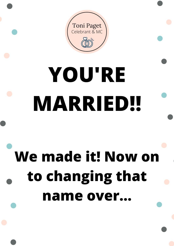

# **YOU'RE MARRIED!!**

# **We made it! Now on to changing that name over...**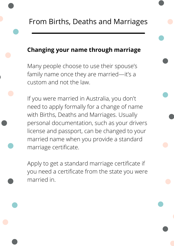## **Changing your name through marriage**

Many people choose to use their spouse's family name once they are married—it's a custom and not the law.

If you were married in Australia, you don't need to apply formally for a change of name with Births, Deaths and Marriages. Usually personal documentation, such as your drivers license and passport, can be changed to your married name when you provide a standard marriage certificate.

Apply to get a standard marriage [certificate](https://www.qld.gov.au/law/births-deaths-marriages-and-divorces/birth-death-and-marriage-certificates/marriage-certificates/applying-for-a-marriage-certificate) if you need a certificate from the state you were married in.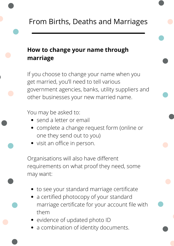# **How to change your name through marriage**

If you choose to change your name when you get married, you'll need to tell various government agencies, banks, utility suppliers and other businesses your new married name.

You may be asked to:

- send a letter or email
- complete a change request form (online or one they send out to you)
- visit an office in person.

Organisations will also have different requirements on what proof they need, some may want:

- to see your standard marriage certificate
- a certified photocopy of your standard marriage certificate for your account file with them
- evidence of updated photo ID
- a combination of identity documents.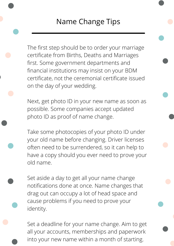The first step should be to order your marriage certificate from Births, Deaths and Marriages first. Some government departments and financial institutions may insist on your BDM certificate, not the ceremonial certificate issued on the day of your wedding.

Next, get photo ID in your new name as soon as possible. Some companies accept updated photo ID as proof of name change.

Take some photocopies of your photo ID under your old name before changing. Driver licenses often need to be surrendered, so it can help to have a copy should you ever need to prove your old name.

Set aside a day to get all your name change notifications done at once. Name changes that drag out can occupy a lot of head space and cause problems if you need to prove your identity.

Set a deadline for your name change. Aim to get all your accounts, memberships and paperwork into your new name within a month of starting.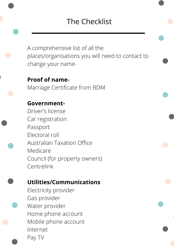A comprehensive list of all the places/organisations you will need to contact to change your name-

**Proof of name-**Marriage Certificate from BDM

## **Government-**

Driver's license Car registration Passport Electoral roll Australian Taxation Office Medicare Council (for property owners) **Centrelink** 

# **Utilities/Communications**

Electricity provider Gas provider Water provider Home phone account Mobile phone account Internet Pay TV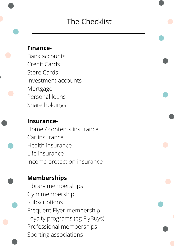#### **Finance-**

Bank accounts Credit Cards Store Cards Investment accounts Mortgage Personal loans Share holdings

#### **Insurance-**

Home / contents insurance Car insurance Health insurance Life insurance Income protection insurance

#### **Memberships**

Library memberships Gym membership Subscriptions Frequent Flyer membership Loyalty programs (eg FlyBuys) Professional memberships Sporting associations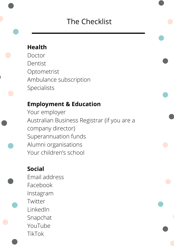#### **Health**

Doctor Dentist Optometrist Ambulance subscription Specialists

# **Employment & Education**

Your employer Australian Business Registrar (if you are a company director) Superannuation funds Alumni organisations Your children's school

# **Social**

Email address Facebook Instagram Twitter LinkedIn Snapchat YouTube TikTok